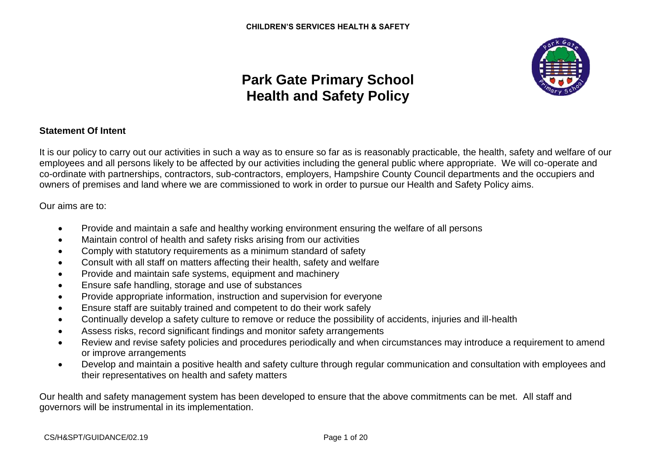

# **Park Gate Primary School Health and Safety Policy**

### **Statement Of Intent**

It is our policy to carry out our activities in such a way as to ensure so far as is reasonably practicable, the health, safety and welfare of our employees and all persons likely to be affected by our activities including the general public where appropriate. We will co-operate and co-ordinate with partnerships, contractors, sub-contractors, employers, Hampshire County Council departments and the occupiers and owners of premises and land where we are commissioned to work in order to pursue our Health and Safety Policy aims.

Our aims are to:

- Provide and maintain a safe and healthy working environment ensuring the welfare of all persons
- Maintain control of health and safety risks arising from our activities
- Comply with statutory requirements as a minimum standard of safety
- Consult with all staff on matters affecting their health, safety and welfare
- Provide and maintain safe systems, equipment and machinery
- Ensure safe handling, storage and use of substances
- Provide appropriate information, instruction and supervision for everyone
- Ensure staff are suitably trained and competent to do their work safely
- Continually develop a safety culture to remove or reduce the possibility of accidents, injuries and ill-health
- Assess risks, record significant findings and monitor safety arrangements
- Review and revise safety policies and procedures periodically and when circumstances may introduce a requirement to amend or improve arrangements
- Develop and maintain a positive health and safety culture through regular communication and consultation with employees and their representatives on health and safety matters

Our health and safety management system has been developed to ensure that the above commitments can be met. All staff and governors will be instrumental in its implementation.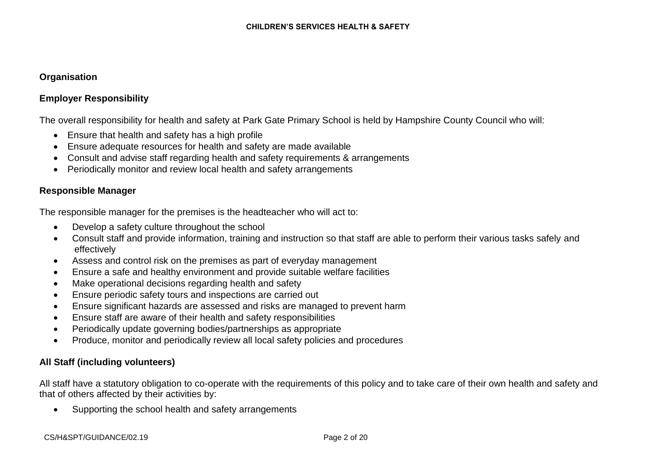### **Organisation**

# **Employer Responsibility**

The overall responsibility for health and safety at Park Gate Primary School is held by Hampshire County Council who will:

- Ensure that health and safety has a high profile
- Ensure adequate resources for health and safety are made available
- Consult and advise staff regarding health and safety requirements & arrangements
- Periodically monitor and review local health and safety arrangements

### **Responsible Manager**

The responsible manager for the premises is the headteacher who will act to:

- Develop a safety culture throughout the school
- Consult staff and provide information, training and instruction so that staff are able to perform their various tasks safely and effectively
- Assess and control risk on the premises as part of everyday management
- Ensure a safe and healthy environment and provide suitable welfare facilities
- Make operational decisions regarding health and safety
- Ensure periodic safety tours and inspections are carried out
- Ensure significant hazards are assessed and risks are managed to prevent harm
- Ensure staff are aware of their health and safety responsibilities
- Periodically update governing bodies/partnerships as appropriate
- Produce, monitor and periodically review all local safety policies and procedures

# **All Staff (including volunteers)**

All staff have a statutory obligation to co-operate with the requirements of this policy and to take care of their own health and safety and that of others affected by their activities by:

• Supporting the school health and safety arrangements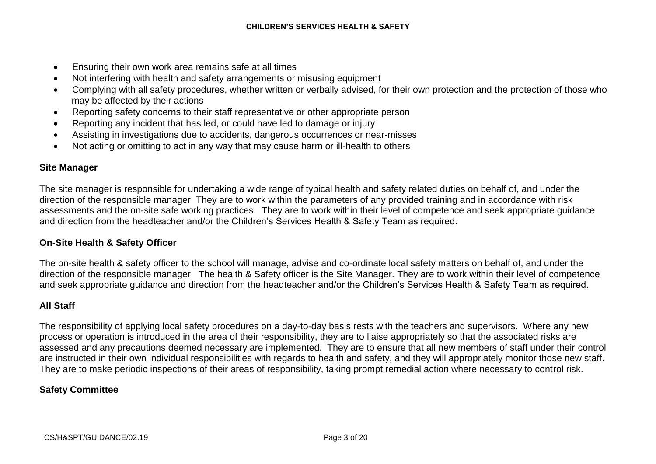- Ensuring their own work area remains safe at all times
- Not interfering with health and safety arrangements or misusing equipment
- Complying with all safety procedures, whether written or verbally advised, for their own protection and the protection of those who may be affected by their actions
- Reporting safety concerns to their staff representative or other appropriate person
- Reporting any incident that has led, or could have led to damage or injury
- Assisting in investigations due to accidents, dangerous occurrences or near-misses
- Not acting or omitting to act in any way that may cause harm or ill-health to others

### **Site Manager**

The site manager is responsible for undertaking a wide range of typical health and safety related duties on behalf of, and under the direction of the responsible manager. They are to work within the parameters of any provided training and in accordance with risk assessments and the on-site safe working practices. They are to work within their level of competence and seek appropriate guidance and direction from the headteacher and/or the Children's Services Health & Safety Team as required.

### **On-Site Health & Safety Officer**

The on-site health & safety officer to the school will manage, advise and co-ordinate local safety matters on behalf of, and under the direction of the responsible manager. The health & Safety officer is the Site Manager. They are to work within their level of competence and seek appropriate guidance and direction from the headteacher and/or the Children's Services Health & Safety Team as required.

### **All Staff**

The responsibility of applying local safety procedures on a day-to-day basis rests with the teachers and supervisors. Where any new process or operation is introduced in the area of their responsibility, they are to liaise appropriately so that the associated risks are assessed and any precautions deemed necessary are implemented. They are to ensure that all new members of staff under their control are instructed in their own individual responsibilities with regards to health and safety, and they will appropriately monitor those new staff. They are to make periodic inspections of their areas of responsibility, taking prompt remedial action where necessary to control risk.

#### **Safety Committee**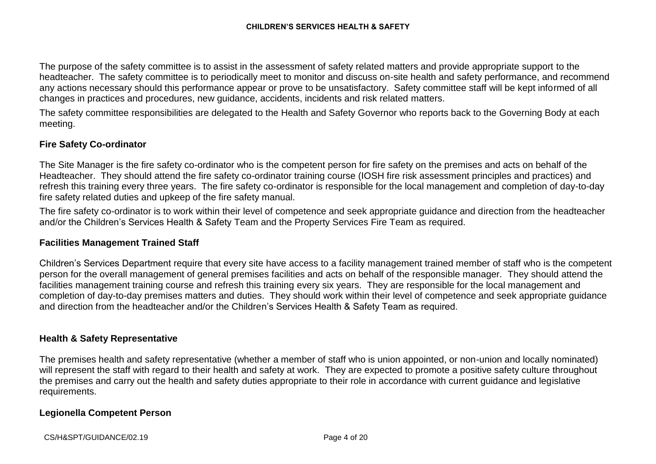The purpose of the safety committee is to assist in the assessment of safety related matters and provide appropriate support to the headteacher. The safety committee is to periodically meet to monitor and discuss on-site health and safety performance, and recommend any actions necessary should this performance appear or prove to be unsatisfactory. Safety committee staff will be kept informed of all changes in practices and procedures, new guidance, accidents, incidents and risk related matters.

The safety committee responsibilities are delegated to the Health and Safety Governor who reports back to the Governing Body at each meeting.

# **Fire Safety Co-ordinator**

The Site Manager is the fire safety co-ordinator who is the competent person for fire safety on the premises and acts on behalf of the Headteacher. They should attend the fire safety co-ordinator training course (IOSH fire risk assessment principles and practices) and refresh this training every three years. The fire safety co-ordinator is responsible for the local management and completion of day-to-day fire safety related duties and upkeep of the fire safety manual.

The fire safety co-ordinator is to work within their level of competence and seek appropriate guidance and direction from the headteacher and/or the Children's Services Health & Safety Team and the Property Services Fire Team as required.

#### **Facilities Management Trained Staff**

Children's Services Department require that every site have access to a facility management trained member of staff who is the competent person for the overall management of general premises facilities and acts on behalf of the responsible manager. They should attend the facilities management training course and refresh this training every six years. They are responsible for the local management and completion of day-to-day premises matters and duties. They should work within their level of competence and seek appropriate guidance and direction from the headteacher and/or the Children's Services Health & Safety Team as required.

#### **Health & Safety Representative**

The premises health and safety representative (whether a member of staff who is union appointed, or non-union and locally nominated) will represent the staff with regard to their health and safety at work. They are expected to promote a positive safety culture throughout the premises and carry out the health and safety duties appropriate to their role in accordance with current guidance and legislative requirements.

#### **Legionella Competent Person**

CS/H&SPT/GUIDANCE/02.19 Page 4 of 20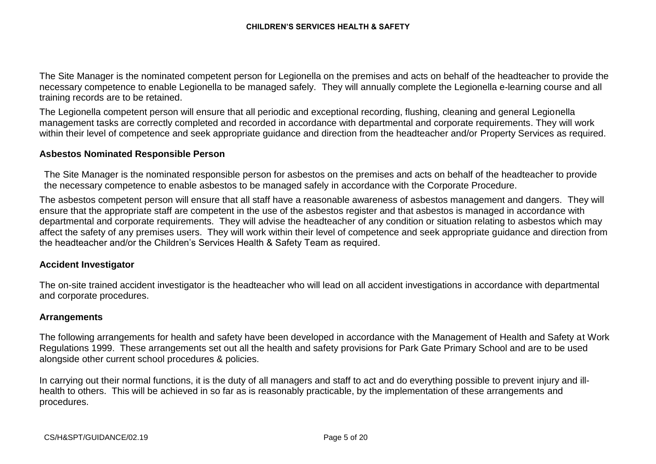The Site Manager is the nominated competent person for Legionella on the premises and acts on behalf of the headteacher to provide the necessary competence to enable Legionella to be managed safely. They will annually complete the Legionella e-learning course and all training records are to be retained.

The Legionella competent person will ensure that all periodic and exceptional recording, flushing, cleaning and general Legionella management tasks are correctly completed and recorded in accordance with departmental and corporate requirements. They will work within their level of competence and seek appropriate guidance and direction from the headteacher and/or Property Services as required.

#### **Asbestos Nominated Responsible Person**

The Site Manager is the nominated responsible person for asbestos on the premises and acts on behalf of the headteacher to provide the necessary competence to enable asbestos to be managed safely in accordance with the Corporate Procedure.

The asbestos competent person will ensure that all staff have a reasonable awareness of asbestos management and dangers. They will ensure that the appropriate staff are competent in the use of the asbestos register and that asbestos is managed in accordance with departmental and corporate requirements. They will advise the headteacher of any condition or situation relating to asbestos which may affect the safety of any premises users. They will work within their level of competence and seek appropriate guidance and direction from the headteacher and/or the Children's Services Health & Safety Team as required.

### **Accident Investigator**

The on-site trained accident investigator is the headteacher who will lead on all accident investigations in accordance with departmental and corporate procedures.

#### **Arrangements**

The following arrangements for health and safety have been developed in accordance with the Management of Health and Safety at Work Regulations 1999. These arrangements set out all the health and safety provisions for Park Gate Primary School and are to be used alongside other current school procedures & policies.

In carrying out their normal functions, it is the duty of all managers and staff to act and do everything possible to prevent injury and illhealth to others. This will be achieved in so far as is reasonably practicable, by the implementation of these arrangements and procedures.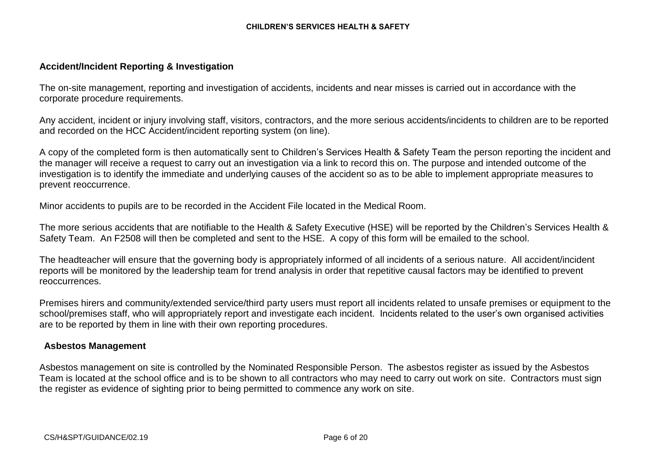### **Accident/Incident Reporting & Investigation**

The on-site management, reporting and investigation of accidents, incidents and near misses is carried out in accordance with the corporate procedure requirements.

Any accident, incident or injury involving staff, visitors, contractors, and the more serious accidents/incidents to children are to be reported and recorded on the HCC Accident/incident reporting system (on line).

A copy of the completed form is then automatically sent to Children's Services Health & Safety Team the person reporting the incident and the manager will receive a request to carry out an investigation via a link to record this on. The purpose and intended outcome of the investigation is to identify the immediate and underlying causes of the accident so as to be able to implement appropriate measures to prevent reoccurrence.

Minor accidents to pupils are to be recorded in the Accident File located in the Medical Room.

The more serious accidents that are notifiable to the Health & Safety Executive (HSE) will be reported by the Children's Services Health & Safety Team. An F2508 will then be completed and sent to the HSE. A copy of this form will be emailed to the school.

The headteacher will ensure that the governing body is appropriately informed of all incidents of a serious nature. All accident/incident reports will be monitored by the leadership team for trend analysis in order that repetitive causal factors may be identified to prevent reoccurrences.

Premises hirers and community/extended service/third party users must report all incidents related to unsafe premises or equipment to the school/premises staff, who will appropriately report and investigate each incident. Incidents related to the user's own organised activities are to be reported by them in line with their own reporting procedures.

#### **Asbestos Management**

Asbestos management on site is controlled by the Nominated Responsible Person. The asbestos register as issued by the Asbestos Team is located at the school office and is to be shown to all contractors who may need to carry out work on site. Contractors must sign the register as evidence of sighting prior to being permitted to commence any work on site.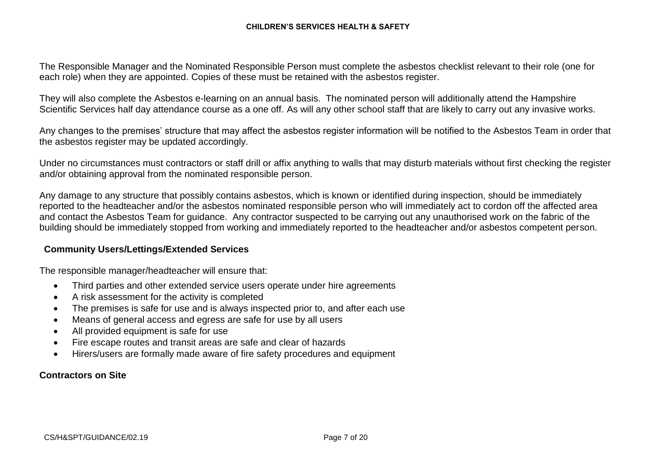The Responsible Manager and the Nominated Responsible Person must complete the asbestos checklist relevant to their role (one for each role) when they are appointed. Copies of these must be retained with the asbestos register.

They will also complete the Asbestos e-learning on an annual basis. The nominated person will additionally attend the Hampshire Scientific Services half day attendance course as a one off. As will any other school staff that are likely to carry out any invasive works.

Any changes to the premises' structure that may affect the asbestos register information will be notified to the Asbestos Team in order that the asbestos register may be updated accordingly.

Under no circumstances must contractors or staff drill or affix anything to walls that may disturb materials without first checking the register and/or obtaining approval from the nominated responsible person.

Any damage to any structure that possibly contains asbestos, which is known or identified during inspection, should be immediately reported to the headteacher and/or the asbestos nominated responsible person who will immediately act to cordon off the affected area and contact the Asbestos Team for guidance. Any contractor suspected to be carrying out any unauthorised work on the fabric of the building should be immediately stopped from working and immediately reported to the headteacher and/or asbestos competent person.

### **Community Users/Lettings/Extended Services**

The responsible manager/headteacher will ensure that:

- Third parties and other extended service users operate under hire agreements
- A risk assessment for the activity is completed
- The premises is safe for use and is always inspected prior to, and after each use
- Means of general access and egress are safe for use by all users
- All provided equipment is safe for use
- Fire escape routes and transit areas are safe and clear of hazards
- Hirers/users are formally made aware of fire safety procedures and equipment

# **Contractors on Site**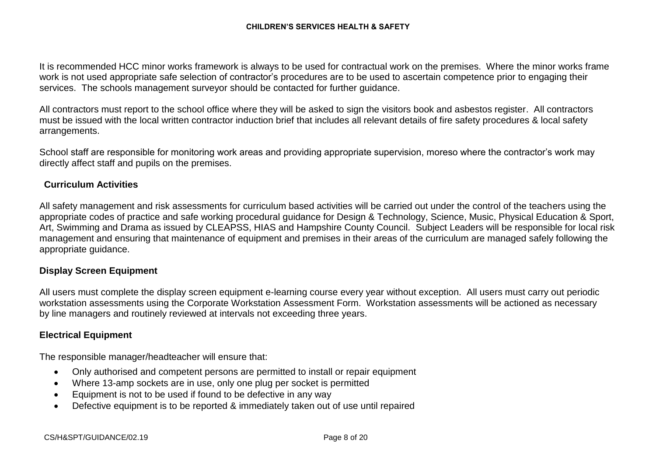It is recommended HCC minor works framework is always to be used for contractual work on the premises. Where the minor works frame work is not used appropriate safe selection of contractor's procedures are to be used to ascertain competence prior to engaging their services. The schools management surveyor should be contacted for further guidance.

All contractors must report to the school office where they will be asked to sign the visitors book and asbestos register. All contractors must be issued with the local written contractor induction brief that includes all relevant details of fire safety procedures & local safety arrangements.

School staff are responsible for monitoring work areas and providing appropriate supervision, moreso where the contractor's work may directly affect staff and pupils on the premises.

### **Curriculum Activities**

All safety management and risk assessments for curriculum based activities will be carried out under the control of the teachers using the appropriate codes of practice and safe working procedural guidance for Design & Technology, Science, Music, Physical Education & Sport, Art, Swimming and Drama as issued by CLEAPSS, HIAS and Hampshire County Council. Subject Leaders will be responsible for local risk management and ensuring that maintenance of equipment and premises in their areas of the curriculum are managed safely following the appropriate guidance.

### **Display Screen Equipment**

All users must complete the display screen equipment e-learning course every year without exception. All users must carry out periodic workstation assessments using the Corporate Workstation Assessment Form. Workstation assessments will be actioned as necessary by line managers and routinely reviewed at intervals not exceeding three years.

#### **Electrical Equipment**

The responsible manager/headteacher will ensure that:

- Only authorised and competent persons are permitted to install or repair equipment
- Where 13-amp sockets are in use, only one plug per socket is permitted
- Equipment is not to be used if found to be defective in any way
- Defective equipment is to be reported & immediately taken out of use until repaired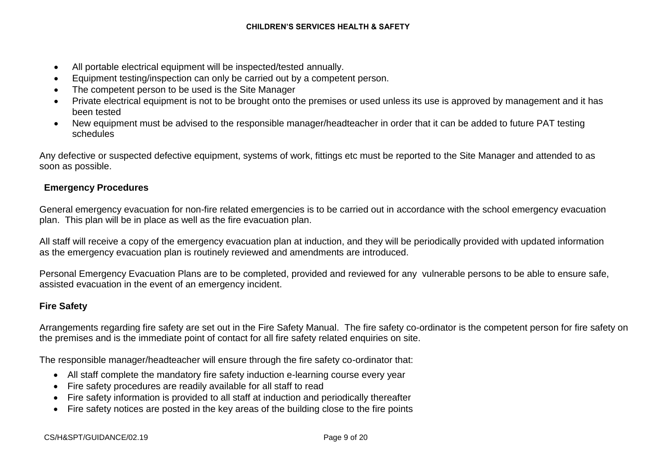- All portable electrical equipment will be inspected/tested annually.
- Equipment testing/inspection can only be carried out by a competent person.
- The competent person to be used is the Site Manager
- Private electrical equipment is not to be brought onto the premises or used unless its use is approved by management and it has been tested
- New equipment must be advised to the responsible manager/headteacher in order that it can be added to future PAT testing schedules

Any defective or suspected defective equipment, systems of work, fittings etc must be reported to the Site Manager and attended to as soon as possible.

# **Emergency Procedures**

General emergency evacuation for non-fire related emergencies is to be carried out in accordance with the school emergency evacuation plan. This plan will be in place as well as the fire evacuation plan.

All staff will receive a copy of the emergency evacuation plan at induction, and they will be periodically provided with updated information as the emergency evacuation plan is routinely reviewed and amendments are introduced.

Personal Emergency Evacuation Plans are to be completed, provided and reviewed for any vulnerable persons to be able to ensure safe, assisted evacuation in the event of an emergency incident.

# **Fire Safety**

Arrangements regarding fire safety are set out in the Fire Safety Manual. The fire safety co-ordinator is the competent person for fire safety on the premises and is the immediate point of contact for all fire safety related enquiries on site.

The responsible manager/headteacher will ensure through the fire safety co-ordinator that:

- All staff complete the mandatory fire safety induction e-learning course every year
- Fire safety procedures are readily available for all staff to read
- Fire safety information is provided to all staff at induction and periodically thereafter
- Fire safety notices are posted in the key areas of the building close to the fire points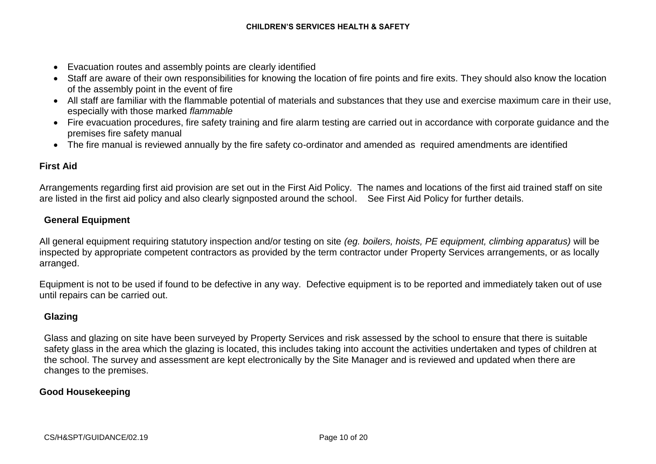- Evacuation routes and assembly points are clearly identified
- Staff are aware of their own responsibilities for knowing the location of fire points and fire exits. They should also know the location of the assembly point in the event of fire
- All staff are familiar with the flammable potential of materials and substances that they use and exercise maximum care in their use, especially with those marked *flammable*
- Fire evacuation procedures, fire safety training and fire alarm testing are carried out in accordance with corporate guidance and the premises fire safety manual
- The fire manual is reviewed annually by the fire safety co-ordinator and amended as required amendments are identified

# **First Aid**

Arrangements regarding first aid provision are set out in the First Aid Policy. The names and locations of the first aid trained staff on site are listed in the first aid policy and also clearly signposted around the school. See First Aid Policy for further details.

# **General Equipment**

All general equipment requiring statutory inspection and/or testing on site *(eg. boilers, hoists, PE equipment, climbing apparatus)* will be inspected by appropriate competent contractors as provided by the term contractor under Property Services arrangements, or as locally arranged.

Equipment is not to be used if found to be defective in any way. Defective equipment is to be reported and immediately taken out of use until repairs can be carried out.

# **Glazing**

Glass and glazing on site have been surveyed by Property Services and risk assessed by the school to ensure that there is suitable safety glass in the area which the glazing is located, this includes taking into account the activities undertaken and types of children at the school. The survey and assessment are kept electronically by the Site Manager and is reviewed and updated when there are changes to the premises.

# **Good Housekeeping**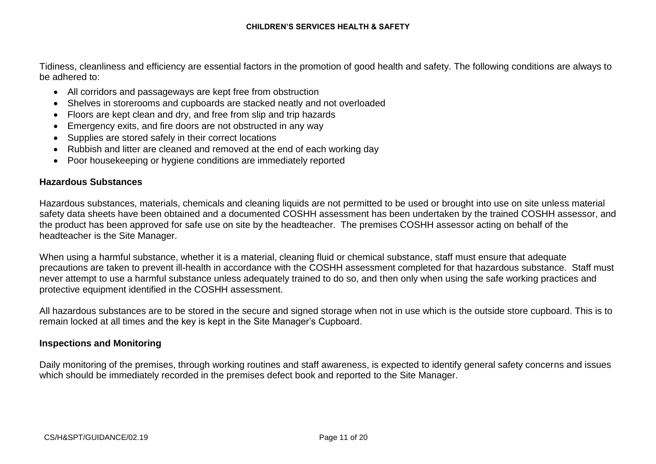Tidiness, cleanliness and efficiency are essential factors in the promotion of good health and safety. The following conditions are always to be adhered to:

- All corridors and passageways are kept free from obstruction
- Shelves in storerooms and cupboards are stacked neatly and not overloaded
- Floors are kept clean and dry, and free from slip and trip hazards
- Emergency exits, and fire doors are not obstructed in any way
- Supplies are stored safely in their correct locations
- Rubbish and litter are cleaned and removed at the end of each working day
- Poor housekeeping or hygiene conditions are immediately reported

### **Hazardous Substances**

Hazardous substances, materials, chemicals and cleaning liquids are not permitted to be used or brought into use on site unless material safety data sheets have been obtained and a documented COSHH assessment has been undertaken by the trained COSHH assessor, and the product has been approved for safe use on site by the headteacher. The premises COSHH assessor acting on behalf of the headteacher is the Site Manager.

When using a harmful substance, whether it is a material, cleaning fluid or chemical substance, staff must ensure that adequate precautions are taken to prevent ill-health in accordance with the COSHH assessment completed for that hazardous substance. Staff must never attempt to use a harmful substance unless adequately trained to do so, and then only when using the safe working practices and protective equipment identified in the COSHH assessment.

All hazardous substances are to be stored in the secure and signed storage when not in use which is the outside store cupboard. This is to remain locked at all times and the key is kept in the Site Manager's Cupboard.

### **Inspections and Monitoring**

Daily monitoring of the premises, through working routines and staff awareness, is expected to identify general safety concerns and issues which should be immediately recorded in the premises defect book and reported to the Site Manager.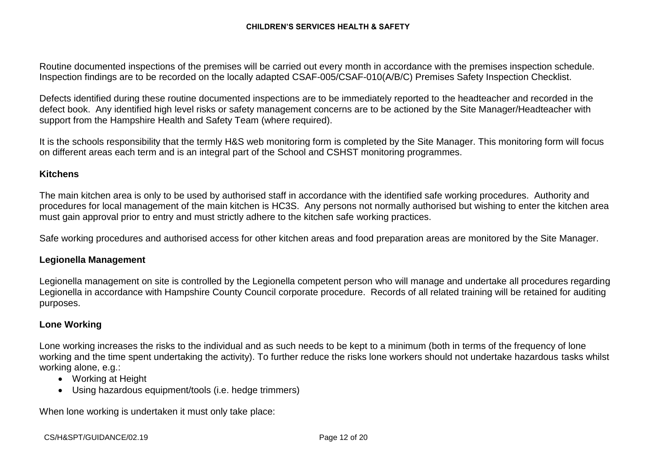Routine documented inspections of the premises will be carried out every month in accordance with the premises inspection schedule. Inspection findings are to be recorded on the locally adapted CSAF-005/CSAF-010(A/B/C) Premises Safety Inspection Checklist.

Defects identified during these routine documented inspections are to be immediately reported to the headteacher and recorded in the defect book. Any identified high level risks or safety management concerns are to be actioned by the Site Manager/Headteacher with support from the Hampshire Health and Safety Team (where required).

It is the schools responsibility that the termly H&S web monitoring form is completed by the Site Manager. This monitoring form will focus on different areas each term and is an integral part of the School and CSHST monitoring programmes.

#### **Kitchens**

The main kitchen area is only to be used by authorised staff in accordance with the identified safe working procedures. Authority and procedures for local management of the main kitchen is HC3S. Any persons not normally authorised but wishing to enter the kitchen area must gain approval prior to entry and must strictly adhere to the kitchen safe working practices.

Safe working procedures and authorised access for other kitchen areas and food preparation areas are monitored by the Site Manager.

#### **Legionella Management**

Legionella management on site is controlled by the Legionella competent person who will manage and undertake all procedures regarding Legionella in accordance with Hampshire County Council corporate procedure. Records of all related training will be retained for auditing purposes.

#### **Lone Working**

Lone working increases the risks to the individual and as such needs to be kept to a minimum (both in terms of the frequency of lone working and the time spent undertaking the activity). To further reduce the risks lone workers should not undertake hazardous tasks whilst working alone, e.g.:

- Working at Height
- Using hazardous equipment/tools (i.e. hedge trimmers)

When lone working is undertaken it must only take place: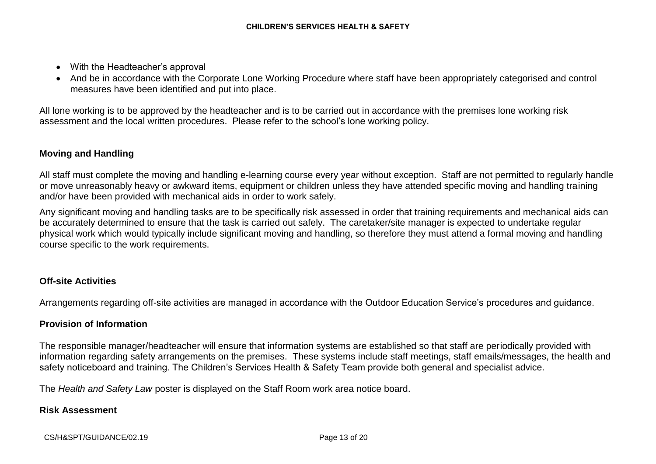- With the Headteacher's approval
- And be in accordance with the Corporate Lone Working Procedure where staff have been appropriately categorised and control measures have been identified and put into place.

All lone working is to be approved by the headteacher and is to be carried out in accordance with the premises lone working risk assessment and the local written procedures. Please refer to the school's lone working policy.

# **Moving and Handling**

All staff must complete the moving and handling e-learning course every year without exception. Staff are not permitted to regularly handle or move unreasonably heavy or awkward items, equipment or children unless they have attended specific moving and handling training and/or have been provided with mechanical aids in order to work safely.

Any significant moving and handling tasks are to be specifically risk assessed in order that training requirements and mechanical aids can be accurately determined to ensure that the task is carried out safely. The caretaker/site manager is expected to undertake regular physical work which would typically include significant moving and handling, so therefore they must attend a formal moving and handling course specific to the work requirements.

# **Off-site Activities**

Arrangements regarding off-site activities are managed in accordance with the Outdoor Education Service's procedures and guidance.

# **Provision of Information**

The responsible manager/headteacher will ensure that information systems are established so that staff are periodically provided with information regarding safety arrangements on the premises. These systems include staff meetings, staff emails/messages, the health and safety noticeboard and training. The Children's Services Health & Safety Team provide both general and specialist advice.

The *Health and Safety Law* poster is displayed on the Staff Room work area notice board.

### **Risk Assessment**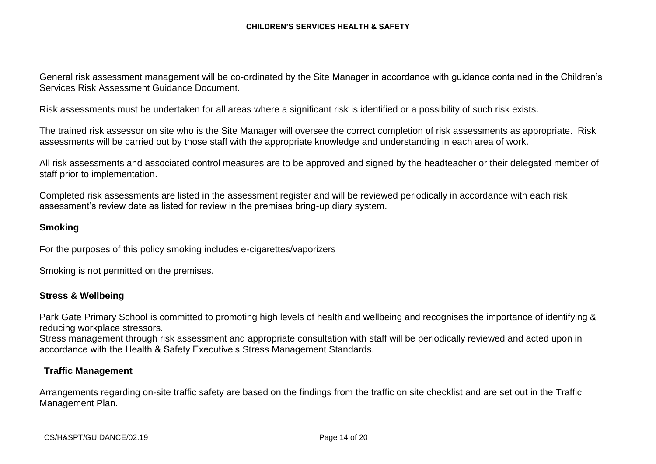General risk assessment management will be co-ordinated by the Site Manager in accordance with guidance contained in the Children's Services Risk Assessment Guidance Document.

Risk assessments must be undertaken for all areas where a significant risk is identified or a possibility of such risk exists.

The trained risk assessor on site who is the Site Manager will oversee the correct completion of risk assessments as appropriate. Risk assessments will be carried out by those staff with the appropriate knowledge and understanding in each area of work.

All risk assessments and associated control measures are to be approved and signed by the headteacher or their delegated member of staff prior to implementation.

Completed risk assessments are listed in the assessment register and will be reviewed periodically in accordance with each risk assessment's review date as listed for review in the premises bring-up diary system.

#### **Smoking**

For the purposes of this policy smoking includes e-cigarettes/vaporizers

Smoking is not permitted on the premises.

#### **Stress & Wellbeing**

Park Gate Primary School is committed to promoting high levels of health and wellbeing and recognises the importance of identifying & reducing workplace stressors.

Stress management through risk assessment and appropriate consultation with staff will be periodically reviewed and acted upon in accordance with the Health & Safety Executive's Stress Management Standards.

#### **Traffic Management**

Arrangements regarding on-site traffic safety are based on the findings from the traffic on site checklist and are set out in the Traffic Management Plan.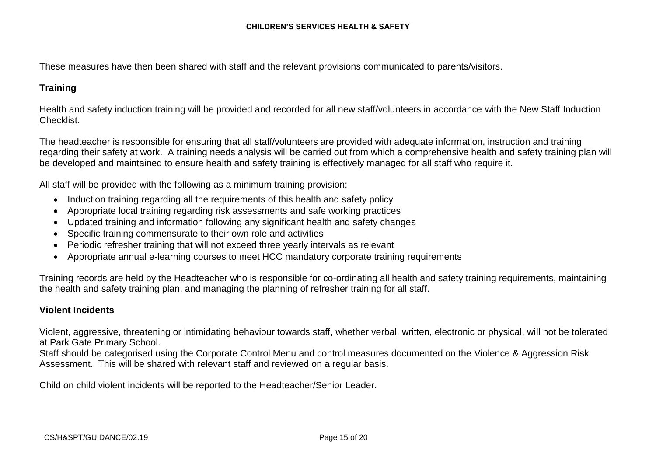These measures have then been shared with staff and the relevant provisions communicated to parents/visitors.

### **Training**

Health and safety induction training will be provided and recorded for all new staff/volunteers in accordance with the New Staff Induction Checklist.

The headteacher is responsible for ensuring that all staff/volunteers are provided with adequate information, instruction and training regarding their safety at work. A training needs analysis will be carried out from which a comprehensive health and safety training plan will be developed and maintained to ensure health and safety training is effectively managed for all staff who require it.

All staff will be provided with the following as a minimum training provision:

- Induction training regarding all the requirements of this health and safety policy
- Appropriate local training regarding risk assessments and safe working practices
- Updated training and information following any significant health and safety changes
- Specific training commensurate to their own role and activities
- Periodic refresher training that will not exceed three yearly intervals as relevant
- Appropriate annual e-learning courses to meet HCC mandatory corporate training requirements

Training records are held by the Headteacher who is responsible for co-ordinating all health and safety training requirements, maintaining the health and safety training plan, and managing the planning of refresher training for all staff.

### **Violent Incidents**

Violent, aggressive, threatening or intimidating behaviour towards staff, whether verbal, written, electronic or physical, will not be tolerated at Park Gate Primary School.

Staff should be categorised using the Corporate Control Menu and control measures documented on the Violence & Aggression Risk Assessment. This will be shared with relevant staff and reviewed on a regular basis.

Child on child violent incidents will be reported to the Headteacher/Senior Leader.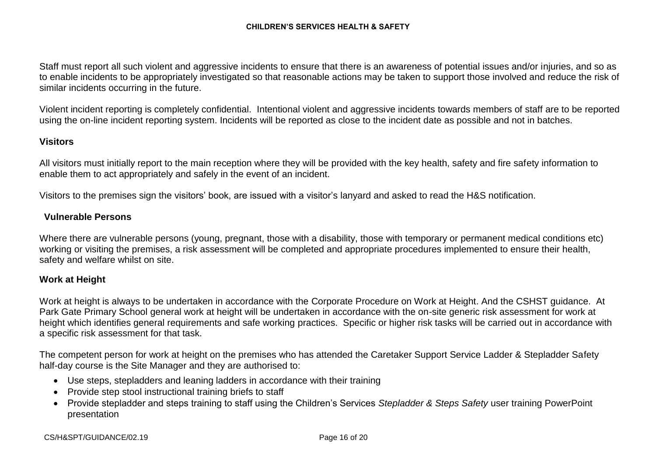Staff must report all such violent and aggressive incidents to ensure that there is an awareness of potential issues and/or injuries, and so as to enable incidents to be appropriately investigated so that reasonable actions may be taken to support those involved and reduce the risk of similar incidents occurring in the future.

Violent incident reporting is completely confidential. Intentional violent and aggressive incidents towards members of staff are to be reported using the on-line incident reporting system. Incidents will be reported as close to the incident date as possible and not in batches.

### **Visitors**

All visitors must initially report to the main reception where they will be provided with the key health, safety and fire safety information to enable them to act appropriately and safely in the event of an incident.

Visitors to the premises sign the visitors' book, are issued with a visitor's lanyard and asked to read the H&S notification.

### **Vulnerable Persons**

Where there are vulnerable persons (young, pregnant, those with a disability, those with temporary or permanent medical conditions etc) working or visiting the premises, a risk assessment will be completed and appropriate procedures implemented to ensure their health, safety and welfare whilst on site.

#### **Work at Height**

Work at height is always to be undertaken in accordance with the Corporate Procedure on Work at Height. And the CSHST guidance. At Park Gate Primary School general work at height will be undertaken in accordance with the on-site generic risk assessment for work at height which identifies general requirements and safe working practices. Specific or higher risk tasks will be carried out in accordance with a specific risk assessment for that task.

The competent person for work at height on the premises who has attended the Caretaker Support Service Ladder & Stepladder Safety half-day course is the Site Manager and they are authorised to:

- Use steps, stepladders and leaning ladders in accordance with their training
- Provide step stool instructional training briefs to staff
- Provide stepladder and steps training to staff using the Children's Services *Stepladder & Steps Safety* user training PowerPoint presentation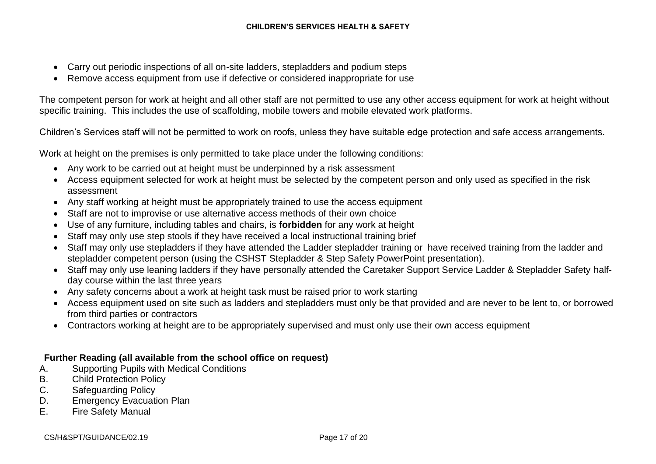- Carry out periodic inspections of all on-site ladders, stepladders and podium steps
- Remove access equipment from use if defective or considered inappropriate for use

The competent person for work at height and all other staff are not permitted to use any other access equipment for work at height without specific training. This includes the use of scaffolding, mobile towers and mobile elevated work platforms.

Children's Services staff will not be permitted to work on roofs, unless they have suitable edge protection and safe access arrangements.

Work at height on the premises is only permitted to take place under the following conditions:

- Any work to be carried out at height must be underpinned by a risk assessment
- Access equipment selected for work at height must be selected by the competent person and only used as specified in the risk assessment
- Any staff working at height must be appropriately trained to use the access equipment
- Staff are not to improvise or use alternative access methods of their own choice
- Use of any furniture, including tables and chairs, is **forbidden** for any work at height
- Staff may only use step stools if they have received a local instructional training brief
- Staff may only use stepladders if they have attended the Ladder stepladder training or have received training from the ladder and stepladder competent person (using the CSHST Stepladder & Step Safety PowerPoint presentation).
- Staff may only use leaning ladders if they have personally attended the Caretaker Support Service Ladder & Stepladder Safety halfday course within the last three years
- Any safety concerns about a work at height task must be raised prior to work starting
- Access equipment used on site such as ladders and stepladders must only be that provided and are never to be lent to, or borrowed from third parties or contractors
- Contractors working at height are to be appropriately supervised and must only use their own access equipment

# **Further Reading (all available from the school office on request)**

- A. Supporting Pupils with Medical Conditions
- B. Child Protection Policy
- C. Safeguarding Policy
- D. Emergency Evacuation Plan
- E. Fire Safety Manual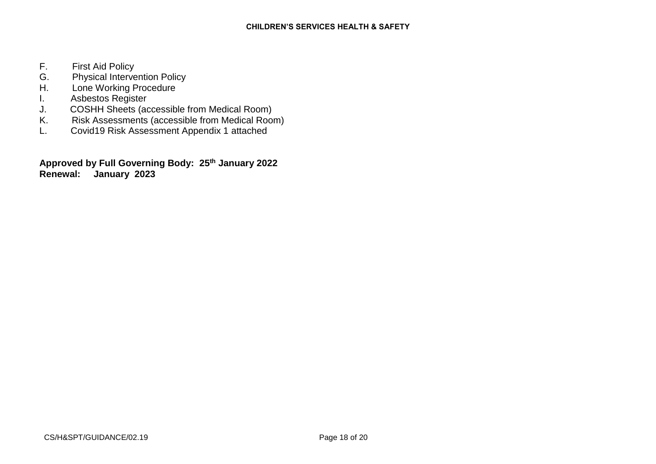- F. First Aid Policy
- G. Physical Intervention Policy<br>H. Lone Working Procedure
- Lone Working Procedure
- I. Asbestos Register<br>J. COSHH Sheets (ad
- J. COSHH Sheets (accessible from Medical Room)
- Risk Assessments (accessible from Medical Room)
- L. Covid19 Risk Assessment Appendix 1 attached

**Approved by Full Governing Body: 25 th January 2022 Renewal: January 2023**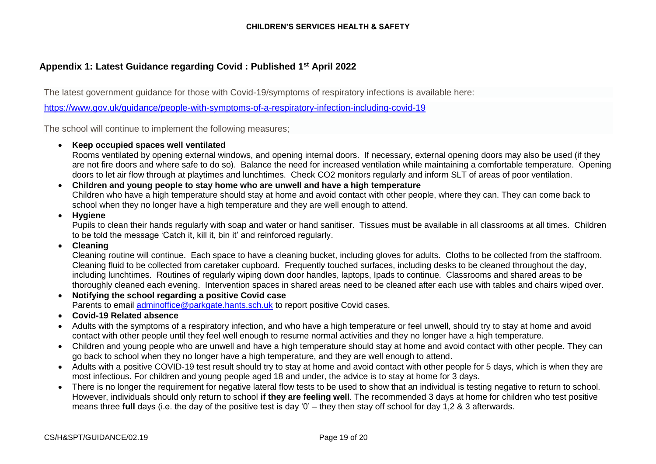# **Appendix 1: Latest Guidance regarding Covid : Published 1st April 2022**

The latest government guidance for those with Covid-19/symptoms of respiratory infections is available here:

<https://www.gov.uk/guidance/people-with-symptoms-of-a-respiratory-infection-including-covid-19>

The school will continue to implement the following measures;

#### • **Keep occupied spaces well ventilated**

Rooms ventilated by opening external windows, and opening internal doors. If necessary, external opening doors may also be used (if they are not fire doors and where safe to do so). Balance the need for increased ventilation while maintaining a comfortable temperature. Opening doors to let air flow through at playtimes and lunchtimes. Check CO2 monitors regularly and inform SLT of areas of poor ventilation.

#### • **Children and young people to stay home who are unwell and have a high temperature**

Children who have a high temperature should stay at home and avoid contact with other people, where they can. They can come back to school when they no longer have a high temperature and they are well enough to attend.

### • **Hygiene**

Pupils to clean their hands regularly with soap and water or hand sanitiser. Tissues must be available in all classrooms at all times. Children to be told the message 'Catch it, kill it, bin it' and reinforced regularly.

#### • **Cleaning**

Cleaning routine will continue. Each space to have a cleaning bucket, including gloves for adults. Cloths to be collected from the staffroom. Cleaning fluid to be collected from caretaker cupboard. Frequently touched surfaces, including desks to be cleaned throughout the day, including lunchtimes. Routines of regularly wiping down door handles, laptops, Ipads to continue. Classrooms and shared areas to be thoroughly cleaned each evening. Intervention spaces in shared areas need to be cleaned after each use with tables and chairs wiped over.

- **Notifying the school regarding a positive Covid case** Parents to email [adminoffice@parkgate.hants.sch.uk](mailto:adminoffice@parkgate.hants.sch.uk) to report positive Covid cases.
- **Covid-19 Related absence**
- Adults with the symptoms of a respiratory infection, and who have a high temperature or feel unwell, should try to stay at home and avoid contact with other people until they feel well enough to resume normal activities and they no longer have a high temperature.
- Children and young people who are unwell and have a high temperature should stay at home and avoid contact with other people. They can go back to school when they no longer have a high temperature, and they are well enough to attend.
- Adults with a positive COVID-19 test result should try to stay at home and avoid contact with other people for 5 days, which is when they are most infectious. For children and young people aged 18 and under, the advice is to stay at home for 3 days.
- There is no longer the requirement for negative lateral flow tests to be used to show that an individual is testing negative to return to school. However, individuals should only return to school **if they are feeling well**. The recommended 3 days at home for children who test positive means three **full** days (i.e. the day of the positive test is day '0' – they then stay off school for day 1,2 & 3 afterwards.